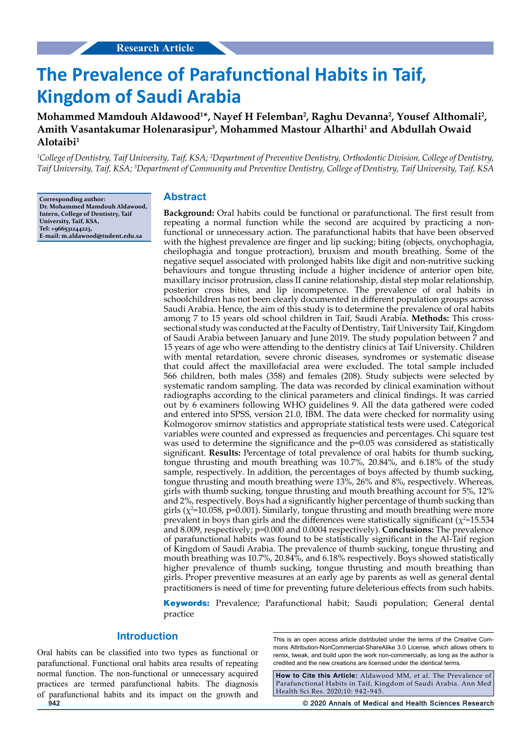# **The Prevalence of Parafunctional Habits in Taif, Kingdom of Saudi Arabia**

Mohammed Mamdouh Aldawood<sup>1\*</sup>, Nayef H Felemban<sup>2</sup>, Raghu Devanna<sup>2</sup>, Yousef Althomali<sup>2</sup>, Amith Vasantakumar Holenarasipur<sup>3</sup>, Mohammed Mastour Alharthi<sup>1</sup> and Abdullah Owaid **Alotaibi1**

<sup>1</sup>College of Dentistry, Taif University, Taif, KSA; <sup>2</sup>Department of Preventive Dentistry, Orthodontic Division, College of Dentistry, *Taif University, Taif, KSA; 3 Department of Community and Preventive Dentistry, College of Dentistry, Taif University, Taif, KSA*

**Corresponding author: Dr. Mohammed Mamdouh Aldawood, Intern, College of Dentistry, Taif University, Taif, KSA, Tel: +966531244223, E-mail: m.aldawood@tudent.edu.sa**

# **Abstract**

**Background:** Oral habits could be functional or parafunctional. The first result from repeating a normal function while the second are acquired by practicing a nonfunctional or unnecessary action. The parafunctional habits that have been observed with the highest prevalence are finger and lip sucking; biting (objects, onychophagia, cheilophagia and tongue protraction), bruxism and mouth breathing. Some of the negative sequel associated with prolonged habits like digit and non-nutritive sucking behaviours and tongue thrusting include a higher incidence of anterior open bite, maxillary incisor protrusion, class II canine relationship, distal step molar relationship, posterior cross bites, and lip incompetence. The prevalence of oral habits in schoolchildren has not been clearly documented in different population groups across Saudi Arabia. Hence, the aim of this study is to determine the prevalence of oral habits among 7 to 15 years old school children in Taif, Saudi Arabia. **Methods:** This crosssectional study was conducted at the Faculty of Dentistry, Taif University Taif, Kingdom of Saudi Arabia between January and June 2019. The study population between 7 and 15 years of age who were attending to the dentistry clinics at Taif University. Children with mental retardation, severe chronic diseases, syndromes or systematic disease that could affect the maxillofacial area were excluded. The total sample included 566 children, both males (358) and females (208). Study subjects were selected by systematic random sampling. The data was recorded by clinical examination without radiographs according to the clinical parameters and clinical findings. It was carried out by 6 examiners following WHO guidelines 9. All the data gathered were coded and entered into SPSS, version 21.0, IBM. The data were checked for normality using Kolmogorov smirnov statistics and appropriate statistical tests were used. Categorical variables were counted and expressed as frequencies and percentages. Chi square test was used to determine the significance and the p=0.05 was considered as statistically significant. **Results:** Percentage of total prevalence of oral habits for thumb sucking, tongue thrusting and mouth breathing was 10.7%, 20.84%, and 6.18% of the study sample, respectively. In addition, the percentages of boys affected by thumb sucking, tongue thrusting and mouth breathing were 13%, 26% and 8%, respectively. Whereas, girls with thumb sucking, tongue thrusting and mouth breathing account for 5%, 12% and 2%, respectively. Boys had a significantly higher percentage of thumb sucking than girls ( $\chi^2$ =10.058, p=0.001). Similarly, tongue thrusting and mouth breathing were more prevalent in boys than girls and the differences were statistically significant  $(\chi^2=15.534)$ and 8.009, respectively; p=0.000 and 0.0004 respectively). **Conclusions:** The prevalence of parafunctional habits was found to be statistically significant in the Al-Taif region of Kingdom of Saudi Arabia. The prevalence of thumb sucking, tongue thrusting and mouth breathing was 10.7%, 20.84%, and 6.18% respectively. Boys showed statistically higher prevalence of thumb sucking, tongue thrusting and mouth breathing than girls. Proper preventive measures at an early age by parents as well as general dental practitioners is need of time for preventing future deleterious effects from such habits.

**Keywords:** Prevalence; Parafunctional habit; Saudi population; General dental practice

## **Introduction**

Oral habits can be classified into two types as functional or parafunctional. Functional oral habits area results of repeating normal function. The non-functional or unnecessary acquired practices are termed parafunctional habits. The diagnosis of parafunctional habits and its impact on the growth and This is an open access article distributed under the terms of the Creative Commons Attribution‑NonCommercial‑ShareAlike 3.0 License, which allows others to remix, tweak, and build upon the work non‑commercially, as long as the author is credited and the new creations are licensed under the identical terms.

**How to Cite this Article:** Aldawood MM, et al. The Prevalence of Parafunctional Habits in Taif, Kingdom of Saudi Arabia. Ann Med Health Sci Res. 2020;10: 942-945.

**942 © 2020 Annals of Medical and Health Sciences Research**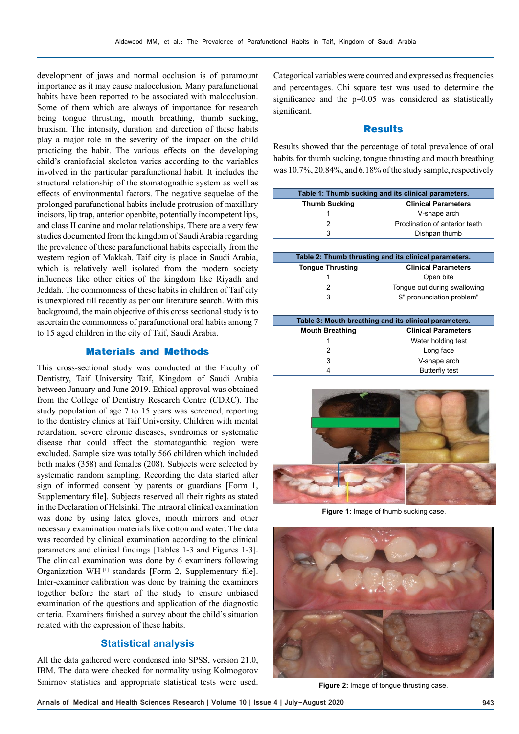I

development of jaws and normal occlusion is of paramount importance as it may cause malocclusion. Many parafunctional habits have been reported to be associated with malocclusion. Some of them which are always of importance for research being tongue thrusting, mouth breathing, thumb sucking, bruxism. The intensity, duration and direction of these habits play a major role in the severity of the impact on the child practicing the habit. The various effects on the developing child's craniofacial skeleton varies according to the variables involved in the particular parafunctional habit. It includes the structural relationship of the stomatognathic system as well as effects of environmental factors. The negative sequelae of the prolonged parafunctional habits include protrusion of maxillary incisors, lip trap, anterior openbite, potentially incompetent lips, and class II canine and molar relationships. There are a very few studies documented from the kingdom of Saudi Arabia regarding the prevalence of these parafunctional habits especially from the western region of Makkah. Taif city is place in Saudi Arabia, which is relatively well isolated from the modern society influences like other cities of the kingdom like Riyadh and Jeddah. The commonness of these habits in children of Taif city is unexplored till recently as per our literature search. With this background, the main objective of this cross sectional study is to ascertain the commonness of parafunctional oral habits among 7 to 15 aged children in the city of Taif, Saudi Arabia.

## **Materials and Methods**

This cross-sectional study was conducted at the Faculty of Dentistry, Taif University Taif, Kingdom of Saudi Arabia between January and June 2019. Ethical approval was obtained from the College of Dentistry Research Centre (CDRC). The study population of age 7 to 15 years was screened, reporting to the dentistry clinics at Taif University. Children with mental retardation, severe chronic diseases, syndromes or systematic disease that could affect the stomatoganthic region were excluded. Sample size was totally 566 children which included both males (358) and females (208). Subjects were selected by systematic random sampling. Recording the data started after sign of informed consent by parents or guardians [Form 1, Supplementary file]. Subjects reserved all their rights as stated in the Declaration of Helsinki. The intraoral clinical examination was done by using latex gloves, mouth mirrors and other necessary examination materials like cotton and water. The data was recorded by clinical examination according to the clinical parameters and clinical findings [Tables 1-3 and Figures 1-3]. The clinical examination was done by 6 examiners following Organization WH [1] standards [Form 2, Supplementary file]. Inter-examiner calibration was done by training the examiners together before the start of the study to ensure unbiased examination of the questions and application of the diagnostic criteria. Examiners finished a survey about the child's situation related with the expression of these habits.

# **Statistical analysis**

All the data gathered were condensed into SPSS, version 21.0, IBM. The data were checked for normality using Kolmogorov Smirnov statistics and appropriate statistical tests were used.

Categorical variables were counted and expressed as frequencies and percentages. Chi square test was used to determine the significance and the p=0.05 was considered as statistically significant.

#### **Results**

Results showed that the percentage of total prevalence of oral habits for thumb sucking, tongue thrusting and mouth breathing was 10.7%, 20.84%, and 6.18% of the study sample, respectively

| Table 1: Thumb sucking and its clinical parameters. |                                |  |  |
|-----------------------------------------------------|--------------------------------|--|--|
| <b>Thumb Sucking</b><br><b>Clinical Parameters</b>  |                                |  |  |
|                                                     | V-shape arch                   |  |  |
|                                                     | Proclination of anterior teeth |  |  |
| 3                                                   | Dishpan thumb                  |  |  |

| Table 2: Thumb thrusting and its clinical parameters. |                              |  |  |
|-------------------------------------------------------|------------------------------|--|--|
| <b>Tongue Thrusting</b>                               | <b>Clinical Parameters</b>   |  |  |
|                                                       | Open bite                    |  |  |
|                                                       | Tonque out during swallowing |  |  |
| ર                                                     | S" pronunciation problem"    |  |  |

| Table 3: Mouth breathing and its clinical parameters. |                            |  |  |
|-------------------------------------------------------|----------------------------|--|--|
| <b>Mouth Breathing</b>                                | <b>Clinical Parameters</b> |  |  |
|                                                       | Water holding test         |  |  |
| 2                                                     | Long face                  |  |  |
| 3                                                     | V-shape arch               |  |  |
| 4                                                     | <b>Butterfly test</b>      |  |  |



**Figure 1:** Image of thumb sucking case.



**Figure 2:** Image of tongue thrusting case.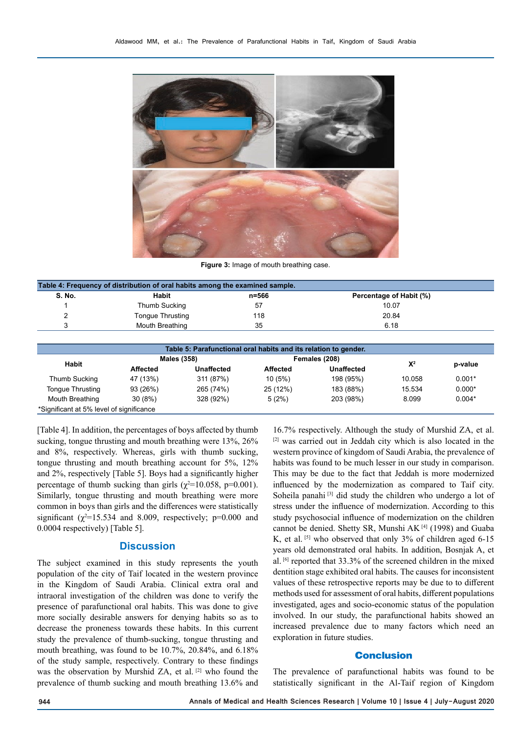

**Figure 3:** Image of mouth breathing case.

| Table 4: Frequency of distribution of oral habits among the examined sample. |                  |       |                         |  |  |  |  |
|------------------------------------------------------------------------------|------------------|-------|-------------------------|--|--|--|--|
| S. No.                                                                       | Habit            | n=566 | Percentage of Habit (%) |  |  |  |  |
|                                                                              | Thumb Sucking    | 57    | 10.07                   |  |  |  |  |
|                                                                              | Tongue Thrusting | 118   | 20.84                   |  |  |  |  |
|                                                                              | Mouth Breathing  | 35    | 6.18                    |  |  |  |  |
|                                                                              |                  |       |                         |  |  |  |  |

| Table 5: Parafunctional oral habits and its relation to gender. |                    |            |                 |            |        |          |  |  |
|-----------------------------------------------------------------|--------------------|------------|-----------------|------------|--------|----------|--|--|
| Habit                                                           | <b>Males (358)</b> |            | Females (208)   |            |        |          |  |  |
|                                                                 | <b>Affected</b>    | Unaffected | <b>Affected</b> | Unaffected | $X^2$  | p-value  |  |  |
| Thumb Sucking                                                   | 47 (13%)           | 311 (87%)  | 10(5%)          | 198 (95%)  | 10.058 | $0.001*$ |  |  |
| <b>Tongue Thrusting</b>                                         | 93 (26%)           | 265 (74%)  | 25 (12%)        | 183 (88%)  | 15.534 | $0.000*$ |  |  |
| Mouth Breathing                                                 | 30(8%)             | 328 (92%)  | 5(2%)           | 203 (98%)  | 8.099  | $0.004*$ |  |  |
| *Significant at 5% level of significance                        |                    |            |                 |            |        |          |  |  |

[Table 4]. In addition, the percentages of boys affected by thumb sucking, tongue thrusting and mouth breathing were 13%, 26% and 8%, respectively. Whereas, girls with thumb sucking, tongue thrusting and mouth breathing account for 5%, 12% and 2%, respectively [Table 5]. Boys had a significantly higher percentage of thumb sucking than girls ( $\chi^2$ =10.058, p=0.001). Similarly, tongue thrusting and mouth breathing were more common in boys than girls and the differences were statistically significant ( $\chi^2$ =15.534 and 8.009, respectively; p=0.000 and 0.0004 respectively) [Table 5].

# **Discussion**

The subject examined in this study represents the youth population of the city of Taif located in the western province in the Kingdom of Saudi Arabia. Clinical extra oral and intraoral investigation of the children was done to verify the presence of parafunctional oral habits. This was done to give more socially desirable answers for denying habits so as to decrease the proneness towards these habits. In this current study the prevalence of thumb-sucking, tongue thrusting and mouth breathing, was found to be 10.7%, 20.84%, and 6.18% of the study sample, respectively. Contrary to these findings was the observation by Murshid ZA, et al. [2] who found the prevalence of thumb sucking and mouth breathing 13.6% and

16.7% respectively. Although the study of Murshid ZA, et al. [2] was carried out in Jeddah city which is also located in the western province of kingdom of Saudi Arabia, the prevalence of habits was found to be much lesser in our study in comparison. This may be due to the fact that Jeddah is more modernized influenced by the modernization as compared to Taif city. Soheila panahi<sup>[3]</sup> did study the children who undergo a lot of stress under the influence of modernization. According to this study psychosocial influence of modernization on the children cannot be denied. Shetty SR, Munshi AK [4] (1998) and Guaba K, et al. [5] who observed that only 3% of children aged 6-15 years old demonstrated oral habits. In addition, Bosnjak A, et al. [6] reported that 33.3% of the screened children in the mixed dentition stage exhibited oral habits. The causes for inconsistent values of these retrospective reports may be due to to different methods used for assessment of oral habits, different populations investigated, ages and socio-economic status of the population involved. In our study, the parafunctional habits showed an increased prevalence due to many factors which need an exploration in future studies.

### **Conclusion**

The prevalence of parafunctional habits was found to be statistically significant in the Al-Taif region of Kingdom